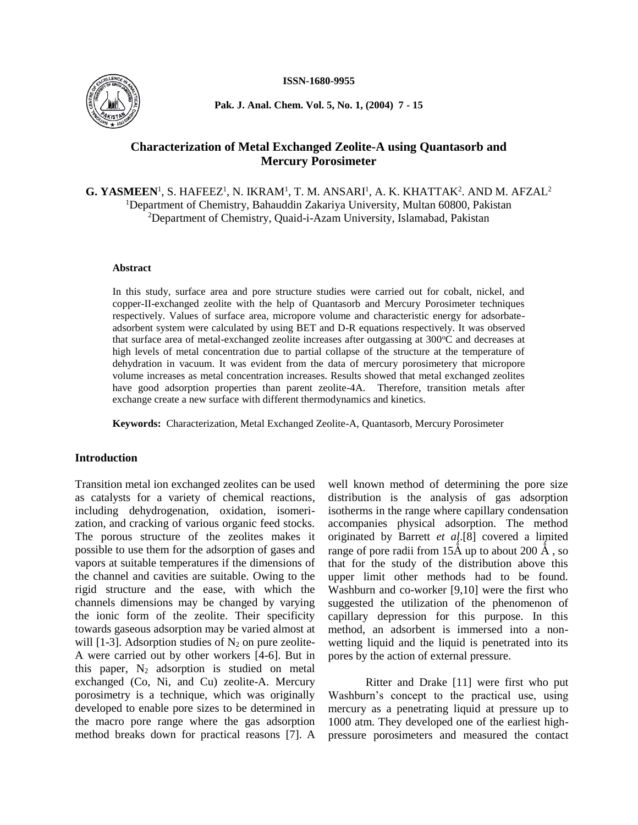

**Pak. J. Anal. Chem. Vol. 5, No. 1, (2004) 7 - 15**

# **Characterization of Metal Exchanged Zeolite-A using Quantasorb and Mercury Porosimeter**

 $G. YASMEEN<sup>1</sup>, S. HAFEEZ<sup>1</sup>, N. IKRAM<sup>1</sup>, T. M. ANSARI<sup>1</sup>, A. K. KHATTAK<sup>2</sup>. AND M. AFZAL<sup>2</sup>$ <sup>1</sup>Department of Chemistry, Bahauddin Zakariya University, Multan 60800, Pakistan <sup>2</sup>Department of Chemistry, Quaid-i-Azam University, Islamabad, Pakistan

#### **Abstract**

In this study, surface area and pore structure studies were carried out for cobalt, nickel, and copper-II-exchanged zeolite with the help of Quantasorb and Mercury Porosimeter techniques respectively. Values of surface area, micropore volume and characteristic energy for adsorbateadsorbent system were calculated by using BET and D-R equations respectively. It was observed that surface area of metal-exchanged zeolite increases after outgassing at  $300^{\circ}$ C and decreases at high levels of metal concentration due to partial collapse of the structure at the temperature of dehydration in vacuum. It was evident from the data of mercury porosimetery that micropore volume increases as metal concentration increases. Results showed that metal exchanged zeolites have good adsorption properties than parent zeolite-4A. Therefore, transition metals after exchange create a new surface with different thermodynamics and kinetics.

**Keywords:** Characterization, Metal Exchanged Zeolite-A, Quantasorb, Mercury Porosimeter

## **Introduction**

Transition metal ion exchanged zeolites can be used as catalysts for a variety of chemical reactions, including dehydrogenation, oxidation, isomerization, and cracking of various organic feed stocks. The porous structure of the zeolites makes it possible to use them for the adsorption of gases and vapors at suitable temperatures if the dimensions of the channel and cavities are suitable. Owing to the rigid structure and the ease, with which the channels dimensions may be changed by varying the ionic form of the zeolite. Their specificity towards gaseous adsorption may be varied almost at will  $[1-3]$ . Adsorption studies of  $N_2$  on pure zeolite-A were carried out by other workers [4-6]. But in this paper,  $N_2$  adsorption is studied on metal exchanged (Co, Ni, and Cu) zeolite-A. Mercury porosimetry is a technique, which was originally developed to enable pore sizes to be determined in the macro pore range where the gas adsorption method breaks down for practical reasons [7]. A well known method of determining the pore size distribution is the analysis of gas adsorption isotherms in the range where capillary condensation accompanies physical adsorption. The method originated by Barrett *et al*.[8] covered a limited range of pore radii from  $15\text{\AA}$  up to about  $200\text{\AA}$ , so that for the study of the distribution above this upper limit other methods had to be found. Washburn and co-worker [9,10] were the first who suggested the utilization of the phenomenon of capillary depression for this purpose. In this method, an adsorbent is immersed into a nonwetting liquid and the liquid is penetrated into its pores by the action of external pressure.

Ritter and Drake [11] were first who put Washburn's concept to the practical use, using mercury as a penetrating liquid at pressure up to 1000 atm. They developed one of the earliest highpressure porosimeters and measured the contact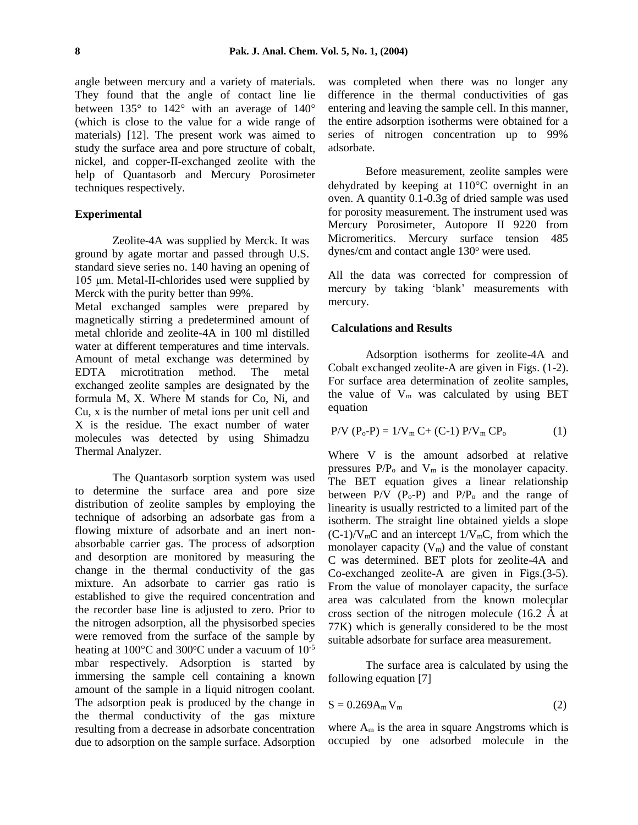angle between mercury and a variety of materials. They found that the angle of contact line lie between  $135^{\circ}$  to  $142^{\circ}$  with an average of  $140^{\circ}$ (which is close to the value for a wide range of materials) [12]. The present work was aimed to study the surface area and pore structure of cobalt, nickel, and copper-II-exchanged zeolite with the help of Quantasorb and Mercury Porosimeter techniques respectively.

## **Experimental**

Zeolite-4A was supplied by Merck. It was ground by agate mortar and passed through U.S. standard sieve series no. 140 having an opening of 105 μm. Metal-II-chlorides used were supplied by Merck with the purity better than 99%.

Metal exchanged samples were prepared by magnetically stirring a predetermined amount of metal chloride and zeolite-4A in 100 ml distilled water at different temperatures and time intervals. Amount of metal exchange was determined by EDTA microtitration method. The metal exchanged zeolite samples are designated by the formula  $M_x$  X. Where M stands for Co, Ni, and Cu, x is the number of metal ions per unit cell and X is the residue. The exact number of water molecules was detected by using Shimadzu Thermal Analyzer.

The Quantasorb sorption system was used to determine the surface area and pore size distribution of zeolite samples by employing the technique of adsorbing an adsorbate gas from a flowing mixture of adsorbate and an inert nonabsorbable carrier gas. The process of adsorption and desorption are monitored by measuring the change in the thermal conductivity of the gas mixture. An adsorbate to carrier gas ratio is established to give the required concentration and the recorder base line is adjusted to zero. Prior to the nitrogen adsorption, all the physisorbed species were removed from the surface of the sample by heating at  $100^{\circ}$ C and  $300^{\circ}$ C under a vacuum of  $10^{-5}$ mbar respectively. Adsorption is started by immersing the sample cell containing a known amount of the sample in a liquid nitrogen coolant. The adsorption peak is produced by the change in the thermal conductivity of the gas mixture resulting from a decrease in adsorbate concentration due to adsorption on the sample surface. Adsorption was completed when there was no longer any difference in the thermal conductivities of gas entering and leaving the sample cell. In this manner, the entire adsorption isotherms were obtained for a series of nitrogen concentration up to 99% adsorbate.

Before measurement, zeolite samples were dehydrated by keeping at  $110^{\circ}$ C overnight in an oven. A quantity 0.1-0.3g of dried sample was used for porosity measurement. The instrument used was Mercury Porosimeter, Autopore II 9220 from Micromeritics. Mercury surface tension 485 dynes/cm and contact angle 130° were used.

All the data was corrected for compression of mercury by taking 'blank' measurements with mercury.

#### **Calculations and Results**

Adsorption isotherms for zeolite-4A and Cobalt exchanged zeolite-A are given in Figs. (1-2). For surface area determination of zeolite samples, the value of  $V_m$  was calculated by using BET equation

$$
P/V (P_o - P) = 1/V_m C + (C-1) P/V_m C P_o
$$
 (1)

Where V is the amount adsorbed at relative pressures  $P/P_0$  and  $V_m$  is the monolayer capacity. The BET equation gives a linear relationship between  $P/V$  ( $P_0$ - $P$ ) and  $P/P_0$  and the range of linearity is usually restricted to a limited part of the isotherm. The straight line obtained yields a slope  $(C-1)/V_{m}C$  and an intercept  $1/V_{m}C$ , from which the monolayer capacity  $(V_m)$  and the value of constant C was determined. BET plots for zeolite-4A and Co-exchanged zeolite-A are given in Figs.(3-5). From the value of monolayer capacity, the surface area was calculated from the known molecular cross section of the nitrogen molecule  $(16.2 \text{ Å at }$ 77K) which is generally considered to be the most suitable adsorbate for surface area measurement.

The surface area is calculated by using the following equation [7]

$$
S = 0.269 A_m V_m \tag{2}
$$

where  $A_m$  is the area in square Angstroms which is occupied by one adsorbed molecule in the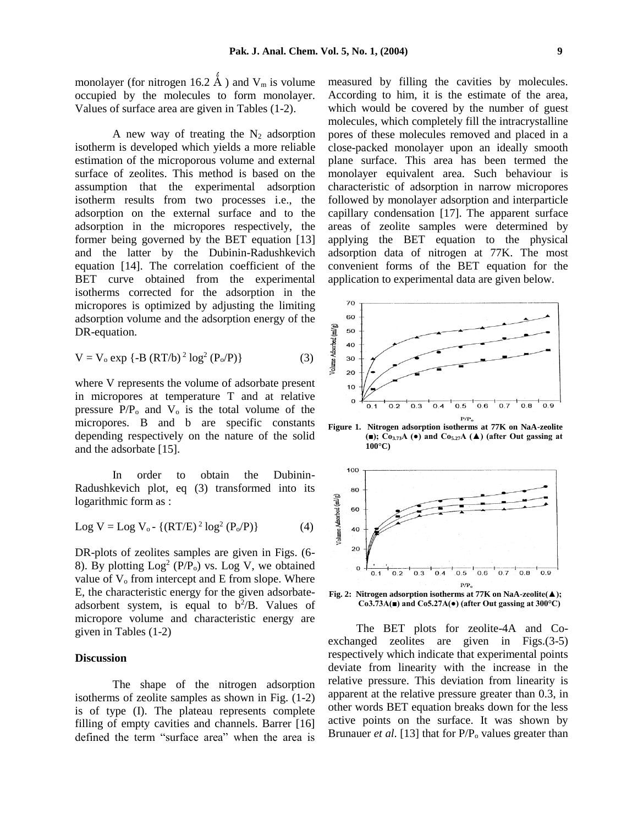monolayer (for nitrogen 16.2  $\AA$ ) and V<sub>m</sub> is volume occupied by the molecules to form monolayer. Values of surface area are given in Tables (1-2).

A new way of treating the  $N_2$  adsorption isotherm is developed which yields a more reliable estimation of the microporous volume and external surface of zeolites. This method is based on the assumption that the experimental adsorption isotherm results from two processes i.e., the adsorption on the external surface and to the adsorption in the micropores respectively, the former being governed by the BET equation [13] and the latter by the Dubinin-Radushkevich equation [14]. The correlation coefficient of the BET curve obtained from the experimental isotherms corrected for the adsorption in the micropores is optimized by adjusting the limiting adsorption volume and the adsorption energy of the DR-equation.

$$
V = V_0 \exp \{-B (RT/b)^2 \log^2 (P_0/P)\}\
$$
 (3)

where V represents the volume of adsorbate present in micropores at temperature T and at relative pressure  $P/P_0$  and  $V_0$  is the total volume of the micropores. B and b are specific constants depending respectively on the nature of the solid and the adsorbate [15].

In order to obtain the Dubinin-Radushkevich plot, eq (3) transformed into its logarithmic form as :

$$
Log V = Log Vo - \{(RT/E)2 log2 (Po/P)\}
$$
 (4)

DR-plots of zeolites samples are given in Figs. (6- 8). By plotting  $Log<sup>2</sup> (P/P<sub>o</sub>)$  vs. Log V, we obtained value of  $V_0$  from intercept and E from slope. Where E, the characteristic energy for the given adsorbateadsorbent system, is equal to  $b^2/B$ . Values of micropore volume and characteristic energy are given in Tables (1-2)

### **Discussion**

The shape of the nitrogen adsorption isotherms of zeolite samples as shown in Fig. (1-2) is of type (I). The plateau represents complete filling of empty cavities and channels. Barrer [16] defined the term "surface area" when the area is measured by filling the cavities by molecules. According to him, it is the estimate of the area, which would be covered by the number of guest molecules, which completely fill the intracrystalline pores of these molecules removed and placed in a close-packed monolayer upon an ideally smooth plane surface. This area has been termed the monolayer equivalent area. Such behaviour is characteristic of adsorption in narrow micropores followed by monolayer adsorption and interparticle capillary condensation [17]. The apparent surface areas of zeolite samples were determined by applying the BET equation to the physical adsorption data of nitrogen at 77K. The most convenient forms of the BET equation for the application to experimental data are given below.



**Figure 1. Nitrogen adsorption isotherms at 77K on NaA-zeolite (■); Co3.73A (●) and Co5.27A (▲) (after Out gassing at 100°C)**



**Co3.73A(■) and Co5.27A(●) (after Out gassing at 300°C)**

The BET plots for zeolite-4A and Coexchanged zeolites are given in Figs.(3-5) respectively which indicate that experimental points deviate from linearity with the increase in the relative pressure. This deviation from linearity is apparent at the relative pressure greater than 0.3, in other words BET equation breaks down for the less active points on the surface. It was shown by Brunauer *et al.* [13] that for P/P<sub>o</sub> values greater than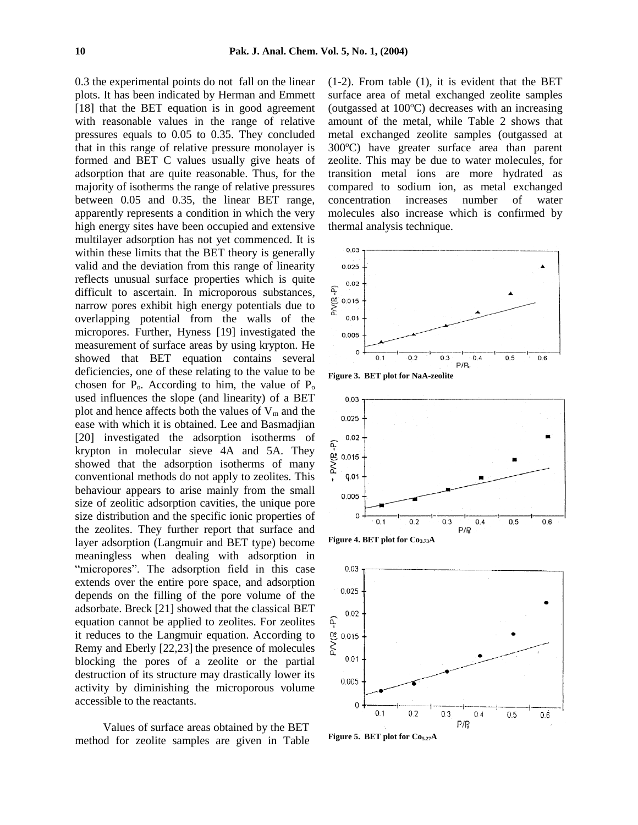0.3 the experimental points do not fall on the linear plots. It has been indicated by Herman and Emmett [18] that the BET equation is in good agreement with reasonable values in the range of relative pressures equals to 0.05 to 0.35. They concluded that in this range of relative pressure monolayer is formed and BET C values usually give heats of adsorption that are quite reasonable. Thus, for the majority of isotherms the range of relative pressures between 0.05 and 0.35, the linear BET range, apparently represents a condition in which the very high energy sites have been occupied and extensive multilayer adsorption has not yet commenced. It is within these limits that the BET theory is generally valid and the deviation from this range of linearity reflects unusual surface properties which is quite difficult to ascertain. In microporous substances, narrow pores exhibit high energy potentials due to overlapping potential from the walls of the micropores. Further, Hyness [19] investigated the measurement of surface areas by using krypton. He showed that BET equation contains several deficiencies, one of these relating to the value to be chosen for  $P_0$ . According to him, the value of  $P_0$ used influences the slope (and linearity) of a BET plot and hence affects both the values of  $V_m$  and the ease with which it is obtained. Lee and Basmadjian [20] investigated the adsorption isotherms of krypton in molecular sieve 4A and 5A. They showed that the adsorption isotherms of many conventional methods do not apply to zeolites. This behaviour appears to arise mainly from the small size of zeolitic adsorption cavities, the unique pore size distribution and the specific ionic properties of the zeolites. They further report that surface and layer adsorption (Langmuir and BET type) become meaningless when dealing with adsorption in "micropores". The adsorption field in this case extends over the entire pore space, and adsorption depends on the filling of the pore volume of the adsorbate. Breck [21] showed that the classical BET equation cannot be applied to zeolites. For zeolites it reduces to the Langmuir equation. According to Remy and Eberly [22,23] the presence of molecules blocking the pores of a zeolite or the partial destruction of its structure may drastically lower its activity by diminishing the microporous volume accessible to the reactants.

Values of surface areas obtained by the BET method for zeolite samples are given in Table (1-2). From table (1), it is evident that the BET surface area of metal exchanged zeolite samples (outgassed at  $100^{\circ}$ C) decreases with an increasing amount of the metal, while Table 2 shows that metal exchanged zeolite samples (outgassed at  $300^{\circ}$ C) have greater surface area than parent zeolite. This may be due to water molecules, for transition metal ions are more hydrated as compared to sodium ion, as metal exchanged concentration increases number of water molecules also increase which is confirmed by thermal analysis technique.











**Figure 5. BET plot for Co5.27A**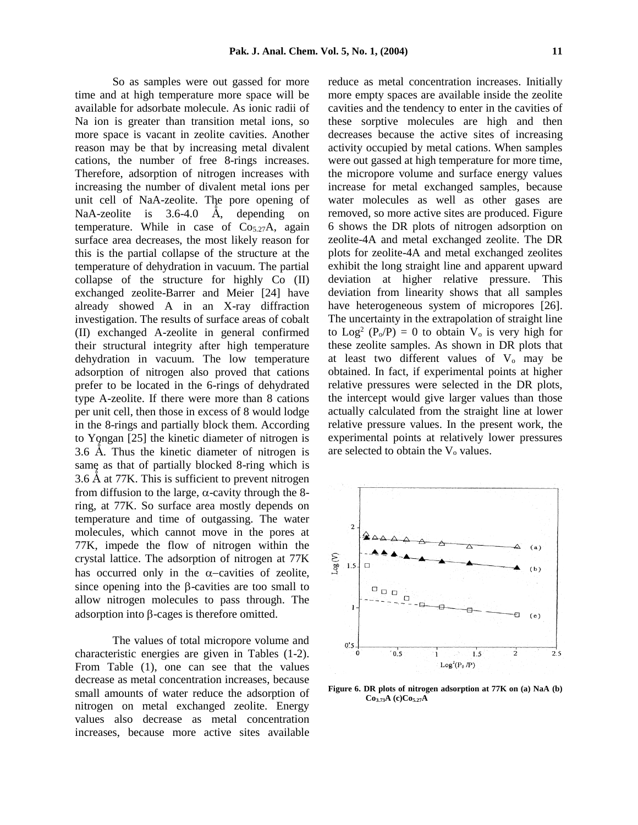So as samples were out gassed for more time and at high temperature more space will be available for adsorbate molecule. As ionic radii of Na ion is greater than transition metal ions, so more space is vacant in zeolite cavities. Another reason may be that by increasing metal divalent cations, the number of free 8-rings increases. Therefore, adsorption of nitrogen increases with increasing the number of divalent metal ions per unit cell of NaA-zeolite. The pore opening of NaA-zeolite is  $3.6-4.0$  Å, depending on temperature. While in case of  $Co<sub>5.27</sub>A$ , again surface area decreases, the most likely reason for this is the partial collapse of the structure at the temperature of dehydration in vacuum. The partial collapse of the structure for highly Co (II) exchanged zeolite-Barrer and Meier [24] have already showed A in an X-ray diffraction investigation. The results of surface areas of cobalt (II) exchanged A-zeolite in general confirmed their structural integrity after high temperature dehydration in vacuum. The low temperature adsorption of nitrogen also proved that cations prefer to be located in the 6-rings of dehydrated type A-zeolite. If there were more than 8 cations per unit cell, then those in excess of 8 would lodge in the 8-rings and partially block them. According to Yongan [25] the kinetic diameter of nitrogen is 3.6 Å. Thus the kinetic diameter of nitrogen is same as that of partially blocked 8-ring which is 3.6 A at 77K. This is sufficient to prevent nitrogen from diffusion to the large,  $\alpha$ -cavity through the 8ring, at 77K. So surface area mostly depends on temperature and time of outgassing. The water molecules, which cannot move in the pores at 77K, impede the flow of nitrogen within the crystal lattice. The adsorption of nitrogen at 77K has occurred only in the  $\alpha$ -cavities of zeolite, since opening into the  $\beta$ -cavities are too small to allow nitrogen molecules to pass through. The adsorption into  $\beta$ -cages is therefore omitted.

The values of total micropore volume and characteristic energies are given in Tables (1-2). From Table (1), one can see that the values decrease as metal concentration increases, because small amounts of water reduce the adsorption of nitrogen on metal exchanged zeolite. Energy values also decrease as metal concentration increases, because more active sites available

reduce as metal concentration increases. Initially more empty spaces are available inside the zeolite cavities and the tendency to enter in the cavities of these sorptive molecules are high and then decreases because the active sites of increasing activity occupied by metal cations. When samples were out gassed at high temperature for more time, the micropore volume and surface energy values increase for metal exchanged samples, because water molecules as well as other gases are removed, so more active sites are produced. Figure 6 shows the DR plots of nitrogen adsorption on zeolite-4A and metal exchanged zeolite. The DR plots for zeolite-4A and metal exchanged zeolites exhibit the long straight line and apparent upward deviation at higher relative pressure. This deviation from linearity shows that all samples have heterogeneous system of micropores [26]. The uncertainty in the extrapolation of straight line to  $\text{Log}^2$  (P<sub>o</sub>/P) = 0 to obtain  $V_0$  is very high for these zeolite samples. As shown in DR plots that at least two different values of  $V_0$  may be obtained. In fact, if experimental points at higher relative pressures were selected in the DR plots, the intercept would give larger values than those actually calculated from the straight line at lower relative pressure values. In the present work, the experimental points at relatively lower pressures are selected to obtain the  $V_0$  values.



**Figure 6. DR plots of nitrogen adsorption at 77K on (a) NaA (b) Co3.73A (c)Co5.27A**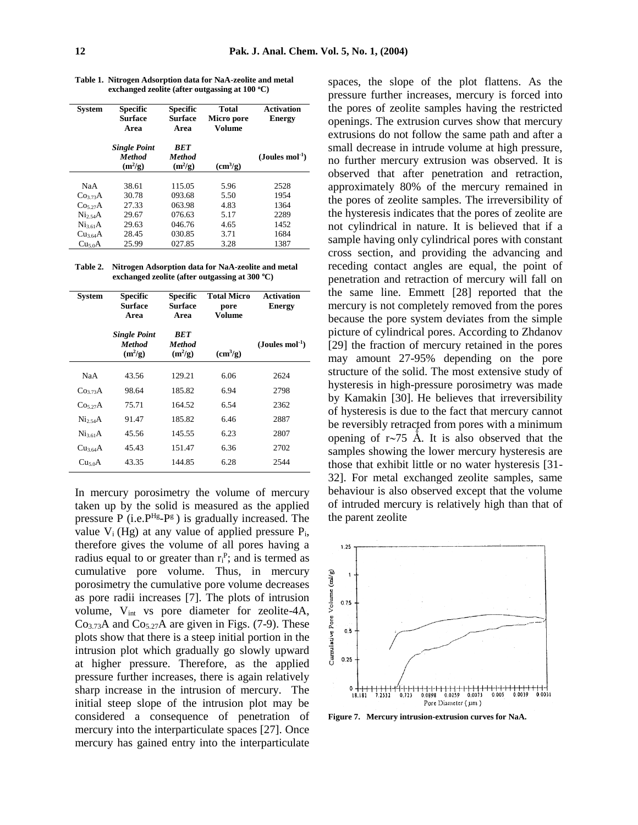**Table 1. Nitrogen Adsorption data for NaA-zeolite and metal exchanged zeolite (after outgassing at 100 <sup>o</sup>C)**

| <b>System</b>        | <b>Specific</b><br><b>Surface</b><br>Area         | <b>Specific</b><br><b>Surface</b><br>Area | <b>Total</b><br>Micro pore<br>Volume | <b>Activation</b><br><b>Energy</b> |
|----------------------|---------------------------------------------------|-------------------------------------------|--------------------------------------|------------------------------------|
|                      | <b>Single Point</b><br><b>Method</b><br>$(m^2/g)$ | <b>BET</b><br><b>Method</b><br>$(m^2/g)$  | $\text{cm}^3/\text{g}$               | $(Joules mol-1)$                   |
| NaA                  | 38.61                                             | 115.05                                    | 5.96                                 | 2528                               |
| Co <sub>373</sub> A  | 30.78                                             | 093.68                                    | 5.50                                 | 1954                               |
| Co <sub>5</sub> 27A  | 27.33                                             | 063.98                                    | 4.83                                 | 1364                               |
| Ni <sub>2</sub> A    | 29.67                                             | 076.63                                    | 5.17                                 | 2289                               |
| Ni <sub>3.61</sub> A | 29.63                                             | 046.76                                    | 4.65                                 | 1452                               |
| Cu <sub>3.64</sub> A | 28.45                                             | 030.85                                    | 3.71                                 | 1684                               |
| Cu <sub>50</sub> A   | 25.99                                             | 027.85                                    | 3.28                                 | 1387                               |

**Table 2. Nitrogen Adsorption data for NaA-zeolite and metal exchanged zeolite (after outgassing at 300 <sup>o</sup>C)**

| <b>System</b>       | <b>Specific</b><br>Surface<br>Area                | <b>Specific</b><br>Surface<br>Area       | <b>Total Micro</b><br>pore<br>Volume | <b>Activation</b><br><b>Energy</b> |
|---------------------|---------------------------------------------------|------------------------------------------|--------------------------------------|------------------------------------|
|                     | <b>Single Point</b><br><b>Method</b><br>$(m^2/g)$ | <b>BET</b><br><b>Method</b><br>$(m^2/g)$ | $\text{cm}^3\text{/g}$               | $($ Joules mol $^{-1})$            |
| NaA                 | 43.56                                             | 129.21                                   | 6.06                                 | 2624                               |
| Co <sub>373</sub> A | 98.64                                             | 185.82                                   | 6.94                                 | 2798                               |
| Co <sub>5</sub> 27A | 75.71                                             | 164.52                                   | 6.54                                 | 2362                               |
| Ni <sub>2</sub> A   | 91.47                                             | 185.82                                   | 6.46                                 | 2887                               |
| $Ni_{3.61}A$        | 45.56                                             | 145.55                                   | 6.23                                 | 2807                               |
| Cu <sub>364</sub> A | 45.43                                             | 151.47                                   | 6.36                                 | 2702                               |
| Cu <sub>5.0</sub> A | 43.35                                             | 144.85                                   | 6.28                                 | 2544                               |

In mercury porosimetry the volume of mercury taken up by the solid is measured as the applied pressure P (i.e.  $P^{Hg} - P^g$ ) is gradually increased. The value  $V_i$  (Hg) at any value of applied pressure  $P_i$ , therefore gives the volume of all pores having a radius equal to or greater than  $r_i^P$ ; and is termed as cumulative pore volume. Thus, in mercury porosimetry the cumulative pore volume decreases as pore radii increases [7]. The plots of intrusion volume, Vint vs pore diameter for zeolite-4A,  $Co<sub>3.73</sub>A$  and  $Co<sub>5.27</sub>A$  are given in Figs. (7-9). These plots show that there is a steep initial portion in the intrusion plot which gradually go slowly upward at higher pressure. Therefore, as the applied pressure further increases, there is again relatively sharp increase in the intrusion of mercury. The initial steep slope of the intrusion plot may be considered a consequence of penetration of mercury into the interparticulate spaces [27]. Once mercury has gained entry into the interparticulate

spaces, the slope of the plot flattens. As the pressure further increases, mercury is forced into the pores of zeolite samples having the restricted openings. The extrusion curves show that mercury extrusions do not follow the same path and after a small decrease in intrude volume at high pressure, no further mercury extrusion was observed. It is observed that after penetration and retraction, approximately 80% of the mercury remained in the pores of zeolite samples. The irreversibility of the hysteresis indicates that the pores of zeolite are not cylindrical in nature. It is believed that if a sample having only cylindrical pores with constant cross section, and providing the advancing and receding contact angles are equal, the point of penetration and retraction of mercury will fall on the same line. Emmett [28] reported that the mercury is not completely removed from the pores because the pore system deviates from the simple picture of cylindrical pores. According to Zhdanov [29] the fraction of mercury retained in the pores may amount 27-95% depending on the pore structure of the solid. The most extensive study of hysteresis in high-pressure porosimetry was made by Kamakin [30]. He believes that irreversibility of hysteresis is due to the fact that mercury cannot be reversibly retracted from pores with a minimum opening of  $r\sim$ 75 Å. It is also observed that the samples showing the lower mercury hysteresis are those that exhibit little or no water hysteresis [31- 32]. For metal exchanged zeolite samples, same behaviour is also observed except that the volume of intruded mercury is relatively high than that of the parent zeolite



**Figure 7. Mercury intrusion-extrusion curves for NaA.**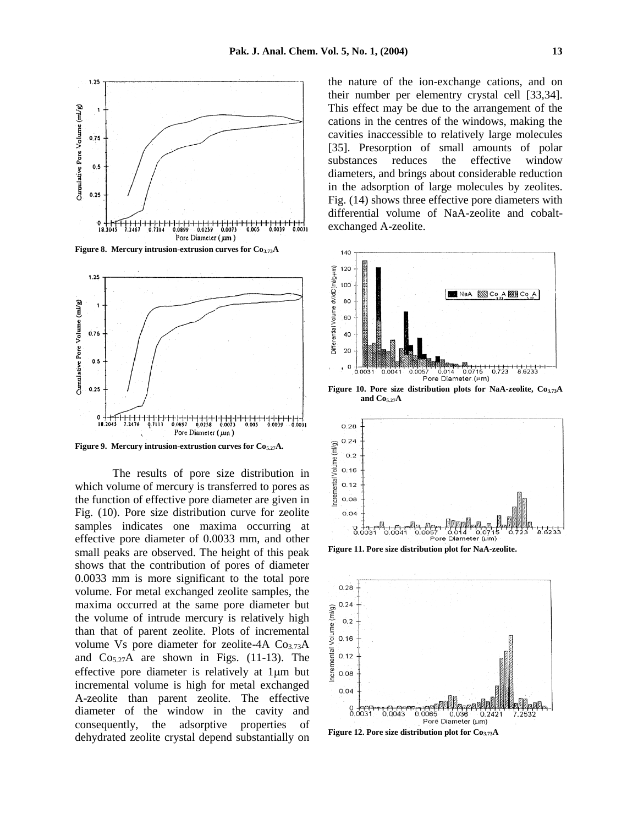

**Figure 8. Mercury intrusion-extrusion curves for Co3.73A**



**Figure 9. Mercury intrusion-extrustion curves for Co5.27A.**

The results of pore size distribution in which volume of mercury is transferred to pores as the function of effective pore diameter are given in Fig. (10). Pore size distribution curve for zeolite samples indicates one maxima occurring at effective pore diameter of 0.0033 mm, and other small peaks are observed. The height of this peak shows that the contribution of pores of diameter 0.0033 mm is more significant to the total pore volume. For metal exchanged zeolite samples, the maxima occurred at the same pore diameter but the volume of intrude mercury is relatively high than that of parent zeolite. Plots of incremental volume Vs pore diameter for zeolite-4A Co3.73A and  $Co<sub>5.27</sub>A$  are shown in Figs. (11-13). The effective pore diameter is relatively at  $1 \mu m$  but incremental volume is high for metal exchanged A-zeolite than parent zeolite. The effective diameter of the window in the cavity and consequently, the adsorptive properties of dehydrated zeolite crystal depend substantially on

the nature of the ion-exchange cations, and on their number per elementry crystal cell [33,34]. This effect may be due to the arrangement of the cations in the centres of the windows, making the cavities inaccessible to relatively large molecules [35]. Presorption of small amounts of polar substances reduces the effective window diameters, and brings about considerable reduction in the adsorption of large molecules by zeolites. Fig. (14) shows three effective pore diameters with differential volume of NaA-zeolite and cobaltexchanged A-zeolite.



**and Co5.27A**



**Figure 11. Pore size distribution plot for NaA-zeolite.**



**Figure 12. Pore size distribution plot for Co3.73A**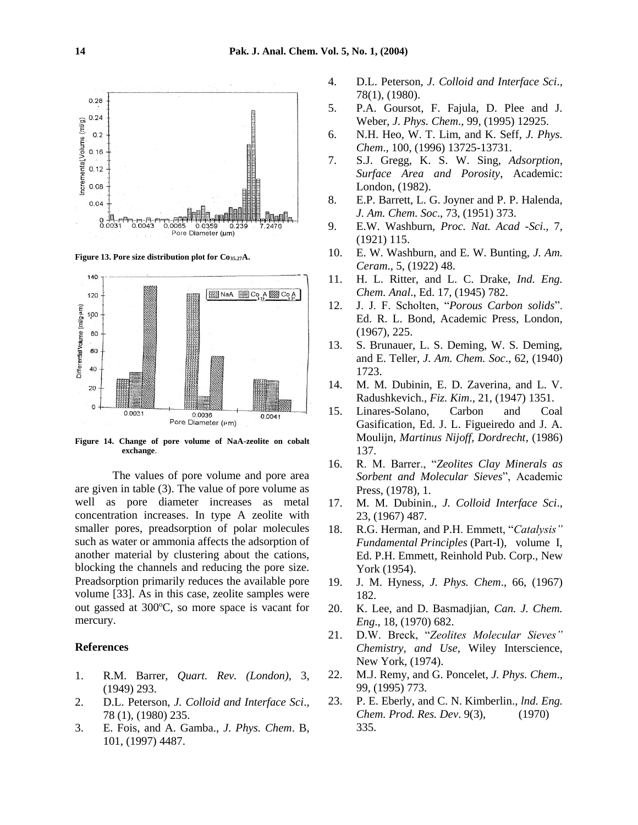

**Figure 13. Pore size distribution plot for Co35.27A.**



**Figure 14. Change of pore volume of NaA-zeolite on cobalt exchange**.

The values of pore volume and pore area are given in table (3). The value of pore volume as well as pore diameter increases as metal concentration increases. In type A zeolite with smaller pores, preadsorption of polar molecules such as water or ammonia affects the adsorption of another material by clustering about the cations, blocking the channels and reducing the pore size. Preadsorption primarily reduces the available pore volume [33]. As in this case, zeolite samples were out gassed at 300°C, so more space is vacant for mercury.

### **References**

- 1. R.M. Barrer, *Quart. Rev. (London),* 3, (1949) 293.
- 2. D.L. Peterson, *J. Colloid and Interface Sci*., 78 (1), (1980) 235.
- 3. E. Fois, and A. Gamba., *J. Phys. Chem*. B, 101, (1997) 4487.
- 4. D.L. Peterson, *J. Colloid and Interface Sci*.*,* 78(1), (1980).
- 5. P.A. Goursot, F. Fajula, D. Plee and J. Weber, *J. Phys. Chem*., 99, (1995) 12925.
- 6. N.H. Heo, W. T. Lim, and K. Seff, *J. Phys. Chem*., 100, (1996) 13725-13731.
- 7. S.J. Gregg, K. S. W. Sing, *Adsorption, Surface Area and Porosity*, Academic: London, (1982).
- 8. E.P. Barrett, L. G. Joyner and P. P. Halenda, *J. Am. Chem. Soc*., 73, (1951) 373.
- 9. E.W. Washburn, *Proc. Nat. Acad -Sci*., 7, (1921) 115.
- 10. E. W. Washburn, and E. W. Bunting, *J. Am. Ceram*., 5, (1922) 48.
- 11. H. L. Ritter, and L. C. Drake, *Ind. Eng. Chem. Anal*., Ed. 17, (1945) 782.
- 12. J. J. F. Scholten, "*Porous Carbon solids*". Ed. R. L. Bond, Academic Press, London, (1967), 225.
- 13. S. Brunauer, L. S. Deming, W. S. Deming, and E. Teller, *J. Am. Chem. Soc*., 62, (1940) 1723.
- 14. M. M. Dubinin, E. D. Zaverina, and L. V. Radushkevich., *Fiz. Kim*., 21, (1947) 1351.
- 15. Linares-Solano, Carbon and Coal Gasification, Ed. J. L. Figueiredo and J. A. Moulijn, *Martinus Nijoff, Dordrecht*, (1986) 137.
- 16. R. M. Barrer., "*Zeolites Clay Minerals as Sorbent and Molecular Sieves*", Academic Press, (1978), 1.
- 17. M. M. Dubinin., *J. Colloid Interface Sci*., 23, (1967) 487.
- 18. R.G. Herman, and P.H. Emmett, "*Catalysis" Fundamental Principles* (Part-I), volume I, Ed. P.H. Emmett, Reinhold Pub. Corp., New York (1954).
- 19. J. M. Hyness, *J. Phys. Chem*., 66, (1967) 182.
- 20. K. Lee, and D. Basmadjian, *Can. J. Chem. Eng*., 18, (1970) 682.
- 21. D.W. Breck, "*Zeolites Molecular Sieves" Chemistry, and Use*, Wiley Interscience, New York, (1974).
- 22. M.J. Remy, and G. Poncelet, *J. Phys. Chem*., 99, (1995) 773.
- 23. P. E. Eberly, and C. N. Kimberlin., *lnd. Eng. Chem. Prod. Res. Dev*. 9(3), (1970) 335.